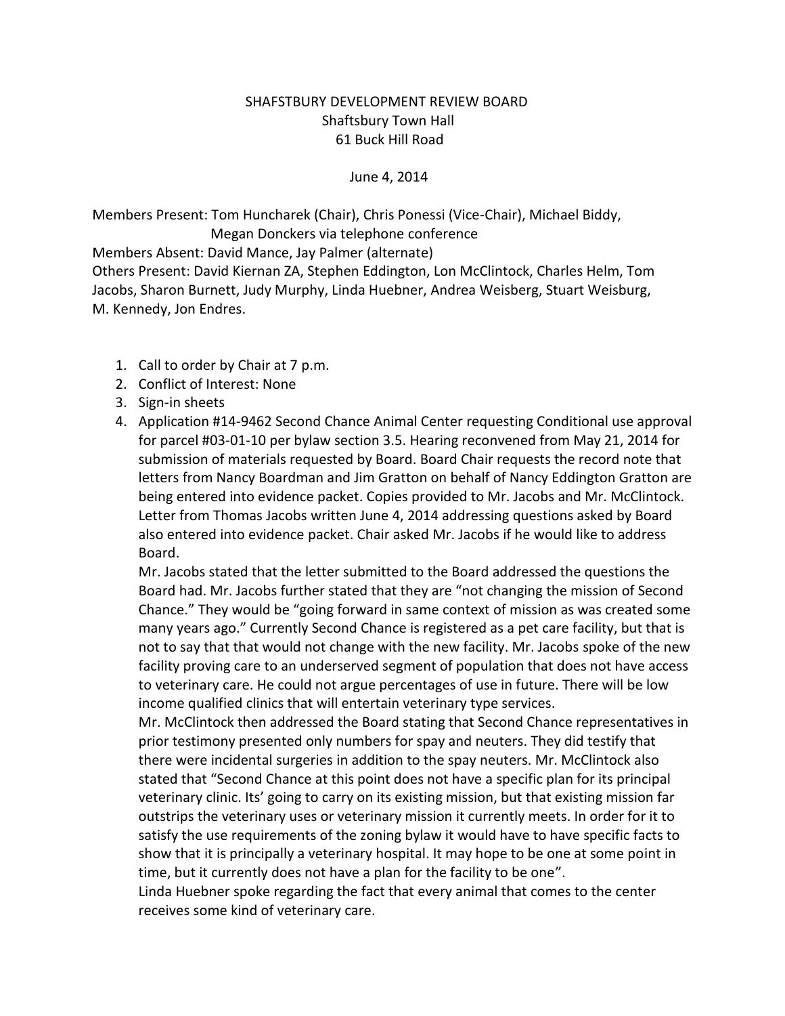## SHAFSTBURY DEVELOPMENT REVIEW BOARD Shaftsbury Town Hall 61 Buck Hill Road

## June 4, 2014

Members Present: Tom Huncharek (Chair), Chris Ponessi (Vice-Chair), Michael Biddy, Megan Donckers via telephone conference

Members Absent: David Mance, Jay Palmer (alternate)

Others Present: David Kiernan ZA, Stephen Eddington, Lon McClintock, Charles Helm, Tom Jacobs, Sharon Burnett, Judy Murphy, Linda Huebner, Andrea Weisberg, Stuart Weisburg, M. Kennedy, Jon Endres.

- 1. Call to order by Chair at 7 p.m.
- 2. Conflict of Interest: None
- 3. Sign-in sheets
- 4. Application #14-9462 Second Chance Animal Center requesting Conditional use approval for parcel #03-01-10 per bylaw section 3.5. Hearing reconvened from May 21, 2014 for submission of materials requested by Board. Board Chair requests the record note that letters from Nancy Boardman and Jim Gratton on behalf of Nancy Eddington Gratton are being entered into evidence packet. Copies provided to Mr. Jacobs and Mr. McClintock. Letter from Thomas Jacobs written June 4, 2014 addressing questions asked by Board also entered into evidence packet. Chair asked Mr. Jacobs if he would like to address Board.

Mr. Jacobs stated that the letter submitted to the Board addressed the questions the Board had. Mr. Jacobs further stated that they are "not changing the mission of Second Chance." They would be "going forward in same context of mission as was created some many years ago." Currently Second Chance is registered as a pet care facility, but that is not to say that that would not change with the new facility. Mr. Jacobs spoke of the new facility proving care to an underserved segment of population that does not have access to veterinary care. He could not argue percentages of use in future. There will be low income qualified clinics that will entertain veterinary type services.

Mr. McClintock then addressed the Board stating that Second Chance representatives in prior testimony presented only numbers for spay and neuters. They did testify that there were incidental surgeries in addition to the spay neuters. Mr. McClintock also stated that "Second Chance at this point does not have a specific plan for its principal veterinary clinic. Its' going to carry on its existing mission, but that existing mission far outstrips the veterinary uses or veterinary mission it currently meets. In order for it to satisfy the use requirements of the zoning bylaw it would have to have specific facts to show that it is principally a veterinary hospital. It may hope to be one at some point in time, but it currently does not have a plan for the facility to be one".

Linda Huebner spoke regarding the fact that every animal that comes to the center receives some kind of veterinary care.